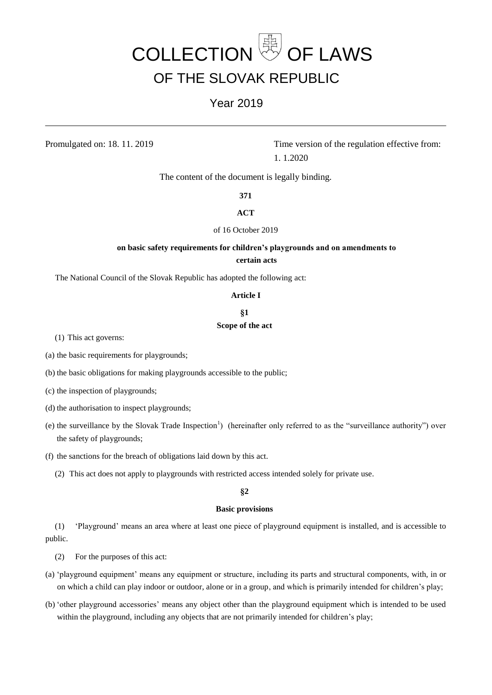# COLLECTION **SEE** OF LAWS OF THE SLOVAK REPUBLIC

## Year 2019

Promulgated on: 18. 11. 2019 Time version of the regulation effective from: 1. 1.2020

The content of the document is legally binding.

**371**

#### **ACT**

## of 16 October 2019

## **on basic safety requirements for children's playgrounds and on amendments to certain acts**

The National Council of the Slovak Republic has adopted the following act:

#### **Article I**

## **§1**

#### **Scope of the act**

(1) This act governs:

(a) the basic requirements for playgrounds;

(b) the basic obligations for making playgrounds accessible to the public;

(c) the inspection of playgrounds;

(d) the authorisation to inspect playgrounds;

- (e) the surveillance by the Slovak Trade Inspection<sup>1</sup>) (hereinafter only referred to as the "surveillance authority") over the safety of playgrounds;
- (f) the sanctions for the breach of obligations laid down by this act.
	- (2) This act does not apply to playgrounds with restricted access intended solely for private use.

## **§2**

### **Basic provisions**

(1) 'Playground' means an area where at least one piece of playground equipment is installed, and is accessible to public.

(2) For the purposes of this act:

- (a) 'playground equipment' means any equipment or structure, including its parts and structural components, with, in or on which a child can play indoor or outdoor, alone or in a group, and which is primarily intended for children's play;
- (b) 'other playground accessories' means any object other than the playground equipment which is intended to be used within the playground, including any objects that are not primarily intended for children's play;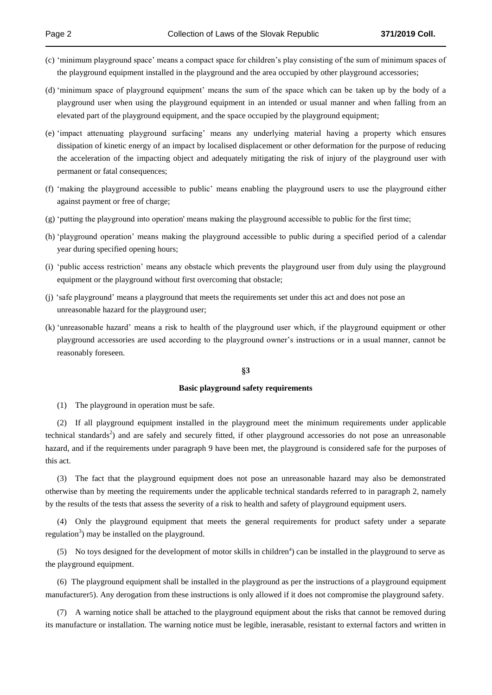- (c) 'minimum playground space' means a compact space for children's play consisting of the sum of minimum spaces of the playground equipment installed in the playground and the area occupied by other playground accessories;
- (d) 'minimum space of playground equipment' means the sum of the space which can be taken up by the body of a playground user when using the playground equipment in an intended or usual manner and when falling from an elevated part of the playground equipment, and the space occupied by the playground equipment;
- (e) 'impact attenuating playground surfacing' means any underlying material having a property which ensures dissipation of kinetic energy of an impact by localised displacement or other deformation for the purpose of reducing the acceleration of the impacting object and adequately mitigating the risk of injury of the playground user with permanent or fatal consequences;
- (f) 'making the playground accessible to public' means enabling the playground users to use the playground either against payment or free of charge;
- (g) 'putting the playground into operation' means making the playground accessible to public for the first time;
- (h) 'playground operation' means making the playground accessible to public during a specified period of a calendar year during specified opening hours;
- (i) 'public access restriction' means any obstacle which prevents the playground user from duly using the playground equipment or the playground without first overcoming that obstacle;
- (j) 'safe playground' means a playground that meets the requirements set under this act and does not pose an unreasonable hazard for the playground user;
- (k) 'unreasonable hazard' means a risk to health of the playground user which, if the playground equipment or other playground accessories are used according to the playground owner's instructions or in a usual manner, cannot be reasonably foreseen.

#### **§3**

#### **Basic playground safety requirements**

(1) The playground in operation must be safe.

(2) If all playground equipment installed in the playground meet the minimum requirements under applicable technical standards<sup>2</sup>) and are safely and securely fitted, if other playground accessories do not pose an unreasonable hazard, and if the requirements under paragraph 9 have been met, the playground is considered safe for the purposes of this act.

(3) The fact that the playground equipment does not pose an unreasonable hazard may also be demonstrated otherwise than by meeting the requirements under the applicable technical standards referred to in paragraph 2, namely by the results of the tests that assess the severity of a risk to health and safety of playground equipment users.

(4) Only the playground equipment that meets the general requirements for product safety under a separate regulation<sup>3</sup>) may be installed on the playground.

 $(5)$  No toys designed for the development of motor skills in children<sup>4</sup>) can be installed in the playground to serve as the playground equipment.

(6) The playground equipment shall be installed in the playground as per the instructions of a playground equipment manufacturer5). Any derogation from these instructions is only allowed if it does not compromise the playground safety.

(7) A warning notice shall be attached to the playground equipment about the risks that cannot be removed during its manufacture or installation. The warning notice must be legible, inerasable, resistant to external factors and written in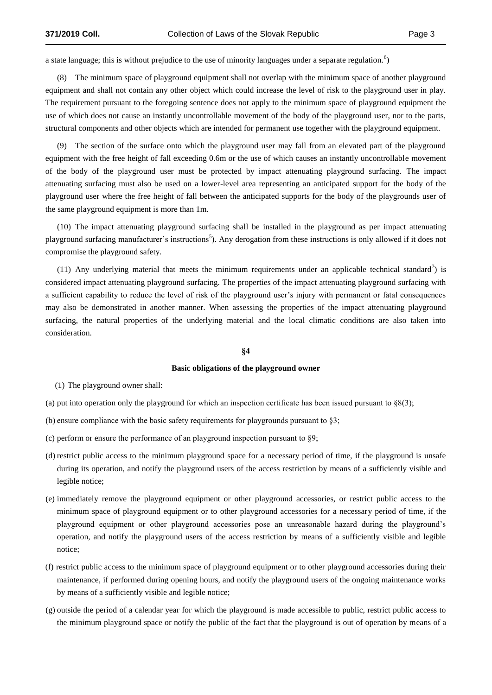a state language; this is without prejudice to the use of minority languages under a separate regulation.<sup>6</sup>)

(8) The minimum space of playground equipment shall not overlap with the minimum space of another playground equipment and shall not contain any other object which could increase the level of risk to the playground user in play. The requirement pursuant to the foregoing sentence does not apply to the minimum space of playground equipment the use of which does not cause an instantly uncontrollable movement of the body of the playground user, nor to the parts, structural components and other objects which are intended for permanent use together with the playground equipment.

(9) The section of the surface onto which the playground user may fall from an elevated part of the playground equipment with the free height of fall exceeding 0.6m or the use of which causes an instantly uncontrollable movement of the body of the playground user must be protected by impact attenuating playground surfacing. The impact attenuating surfacing must also be used on a lower-level area representing an anticipated support for the body of the playground user where the free height of fall between the anticipated supports for the body of the playgrounds user of the same playground equipment is more than 1m.

(10) The impact attenuating playground surfacing shall be installed in the playground as per impact attenuating playground surfacing manufacturer's instructions<sup>5</sup>). Any derogation from these instructions is only allowed if it does not compromise the playground safety.

(11) Any underlying material that meets the minimum requirements under an applicable technical standard<sup>7</sup>) is considered impact attenuating playground surfacing. The properties of the impact attenuating playground surfacing with a sufficient capability to reduce the level of risk of the playground user's injury with permanent or fatal consequences may also be demonstrated in another manner. When assessing the properties of the impact attenuating playground surfacing, the natural properties of the underlying material and the local climatic conditions are also taken into consideration.

#### **§4**

#### **Basic obligations of the playground owner**

(1) The playground owner shall:

- (a) put into operation only the playground for which an inspection certificate has been issued pursuant to  $8(3)$ ;
- (b) ensure compliance with the basic safety requirements for playgrounds pursuant to §3;
- (c) perform or ensure the performance of an playground inspection pursuant to §9;
- (d) restrict public access to the minimum playground space for a necessary period of time, if the playground is unsafe during its operation, and notify the playground users of the access restriction by means of a sufficiently visible and legible notice;
- (e) immediately remove the playground equipment or other playground accessories, or restrict public access to the minimum space of playground equipment or to other playground accessories for a necessary period of time, if the playground equipment or other playground accessories pose an unreasonable hazard during the playground's operation, and notify the playground users of the access restriction by means of a sufficiently visible and legible notice;
- (f) restrict public access to the minimum space of playground equipment or to other playground accessories during their maintenance, if performed during opening hours, and notify the playground users of the ongoing maintenance works by means of a sufficiently visible and legible notice;
- (g) outside the period of a calendar year for which the playground is made accessible to public, restrict public access to the minimum playground space or notify the public of the fact that the playground is out of operation by means of a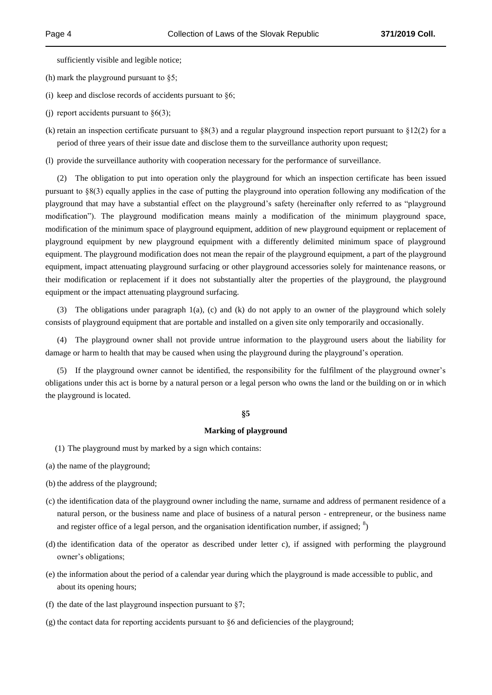sufficiently visible and legible notice;

(h) mark the playground pursuant to §5;

(i) keep and disclose records of accidents pursuant to  $\S6$ ;

- (j) report accidents pursuant to  $\S6(3)$ ;
- (k) retain an inspection certificate pursuant to  $\S 8(3)$  and a regular playground inspection report pursuant to  $\S 12(2)$  for a period of three years of their issue date and disclose them to the surveillance authority upon request;
- (l) provide the surveillance authority with cooperation necessary for the performance of surveillance.

(2) The obligation to put into operation only the playground for which an inspection certificate has been issued pursuant to §8(3) equally applies in the case of putting the playground into operation following any modification of the playground that may have a substantial effect on the playground's safety (hereinafter only referred to as "playground modification"). The playground modification means mainly a modification of the minimum playground space, modification of the minimum space of playground equipment, addition of new playground equipment or replacement of playground equipment by new playground equipment with a differently delimited minimum space of playground equipment. The playground modification does not mean the repair of the playground equipment, a part of the playground equipment, impact attenuating playground surfacing or other playground accessories solely for maintenance reasons, or their modification or replacement if it does not substantially alter the properties of the playground, the playground equipment or the impact attenuating playground surfacing.

(3) The obligations under paragraph 1(a), (c) and (k) do not apply to an owner of the playground which solely consists of playground equipment that are portable and installed on a given site only temporarily and occasionally.

(4) The playground owner shall not provide untrue information to the playground users about the liability for damage or harm to health that may be caused when using the playground during the playground's operation.

(5) If the playground owner cannot be identified, the responsibility for the fulfilment of the playground owner's obligations under this act is borne by a natural person or a legal person who owns the land or the building on or in which the playground is located.

## **§5**

#### **Marking of playground**

- (1) The playground must by marked by a sign which contains:
- (a) the name of the playground;
- (b) the address of the playground;
- (c) the identification data of the playground owner including the name, surname and address of permanent residence of a natural person, or the business name and place of business of a natural person - entrepreneur, or the business name and register office of a legal person, and the organisation identification number, if assigned;  $\delta$ )
- (d) the identification data of the operator as described under letter c), if assigned with performing the playground owner's obligations;
- (e) the information about the period of a calendar year during which the playground is made accessible to public, and about its opening hours;
- (f) the date of the last playground inspection pursuant to  $\S7$ ;
- (g) the contact data for reporting accidents pursuant to §6 and deficiencies of the playground;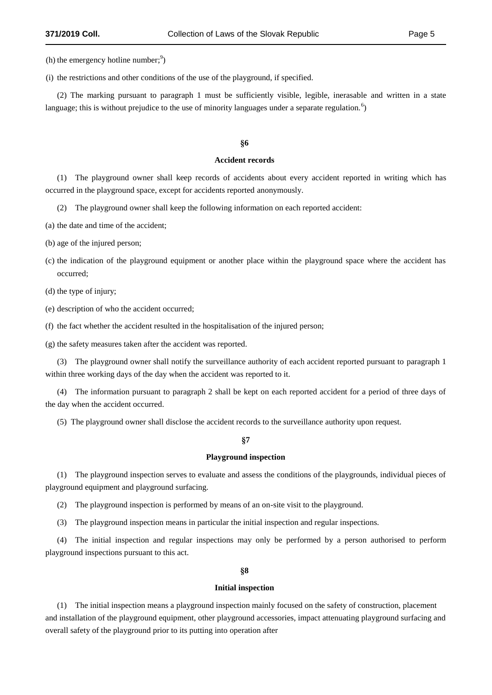(h) the emergency hotline number; $\frac{9}{2}$ )

(i) the restrictions and other conditions of the use of the playground, if specified.

(2) The marking pursuant to paragraph 1 must be sufficiently visible, legible, inerasable and written in a state language; this is without prejudice to the use of minority languages under a separate regulation.<sup>6</sup>)

#### **§6**

#### **Accident records**

(1) The playground owner shall keep records of accidents about every accident reported in writing which has occurred in the playground space, except for accidents reported anonymously.

(2) The playground owner shall keep the following information on each reported accident:

(a) the date and time of the accident;

(b) age of the injured person;

- (c) the indication of the playground equipment or another place within the playground space where the accident has occurred;
- (d) the type of injury;

(e) description of who the accident occurred;

(f) the fact whether the accident resulted in the hospitalisation of the injured person;

(g) the safety measures taken after the accident was reported.

(3) The playground owner shall notify the surveillance authority of each accident reported pursuant to paragraph 1 within three working days of the day when the accident was reported to it.

(4) The information pursuant to paragraph 2 shall be kept on each reported accident for a period of three days of the day when the accident occurred.

(5) The playground owner shall disclose the accident records to the surveillance authority upon request.

#### **§7**

#### **Playground inspection**

(1) The playground inspection serves to evaluate and assess the conditions of the playgrounds, individual pieces of playground equipment and playground surfacing.

(2) The playground inspection is performed by means of an on-site visit to the playground.

(3) The playground inspection means in particular the initial inspection and regular inspections.

(4) The initial inspection and regular inspections may only be performed by a person authorised to perform playground inspections pursuant to this act.

**§8**

#### **Initial inspection**

(1) The initial inspection means a playground inspection mainly focused on the safety of construction, placement and installation of the playground equipment, other playground accessories, impact attenuating playground surfacing and overall safety of the playground prior to its putting into operation after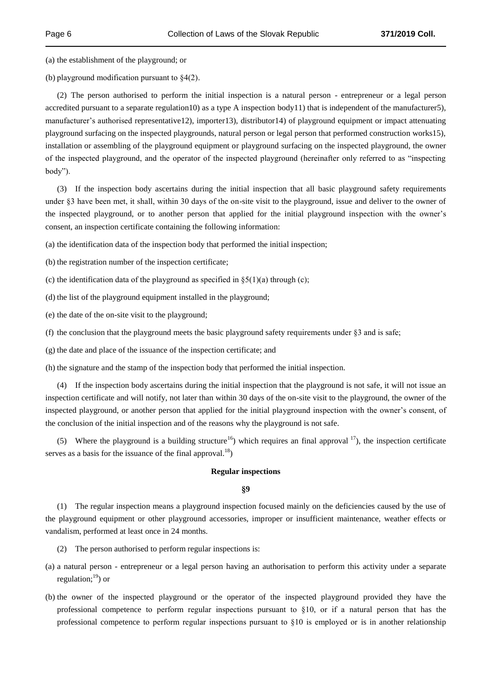(a) the establishment of the playground; or

(b) playground modification pursuant to §4(2).

(2) The person authorised to perform the initial inspection is a natural person - entrepreneur or a legal person accredited pursuant to a separate regulation10) as a type A inspection body11) that is independent of the manufacturer5), manufacturer's authorised representative12), importer13), distributor14) of playground equipment or impact attenuating playground surfacing on the inspected playgrounds, natural person or legal person that performed construction works15), installation or assembling of the playground equipment or playground surfacing on the inspected playground, the owner of the inspected playground, and the operator of the inspected playground (hereinafter only referred to as "inspecting body").

(3) If the inspection body ascertains during the initial inspection that all basic playground safety requirements under §3 have been met, it shall, within 30 days of the on-site visit to the playground, issue and deliver to the owner of the inspected playground, or to another person that applied for the initial playground inspection with the owner's consent, an inspection certificate containing the following information:

(a) the identification data of the inspection body that performed the initial inspection;

(b) the registration number of the inspection certificate;

- (c) the identification data of the playground as specified in  $\S5(1)(a)$  through (c);
- (d) the list of the playground equipment installed in the playground;
- (e) the date of the on-site visit to the playground;

(f) the conclusion that the playground meets the basic playground safety requirements under  $\S$ 3 and is safe;

(g) the date and place of the issuance of the inspection certificate; and

(h) the signature and the stamp of the inspection body that performed the initial inspection.

(4) If the inspection body ascertains during the initial inspection that the playground is not safe, it will not issue an inspection certificate and will notify, not later than within 30 days of the on-site visit to the playground, the owner of the inspected playground, or another person that applied for the initial playground inspection with the owner's consent, of the conclusion of the initial inspection and of the reasons why the playground is not safe.

(5) Where the playground is a building structure<sup>16</sup>) which requires an final approval  $^{17}$ ), the inspection certificate serves as a basis for the issuance of the final approval.<sup>18</sup>)

#### **Regular inspections**

#### **§9**

(1) The regular inspection means a playground inspection focused mainly on the deficiencies caused by the use of the playground equipment or other playground accessories, improper or insufficient maintenance, weather effects or vandalism, performed at least once in 24 months.

- (2) The person authorised to perform regular inspections is:
- (a) a natural person entrepreneur or a legal person having an authorisation to perform this activity under a separate regulation; $^{19}$ ) or
- (b) the owner of the inspected playground or the operator of the inspected playground provided they have the professional competence to perform regular inspections pursuant to §10, or if a natural person that has the professional competence to perform regular inspections pursuant to §10 is employed or is in another relationship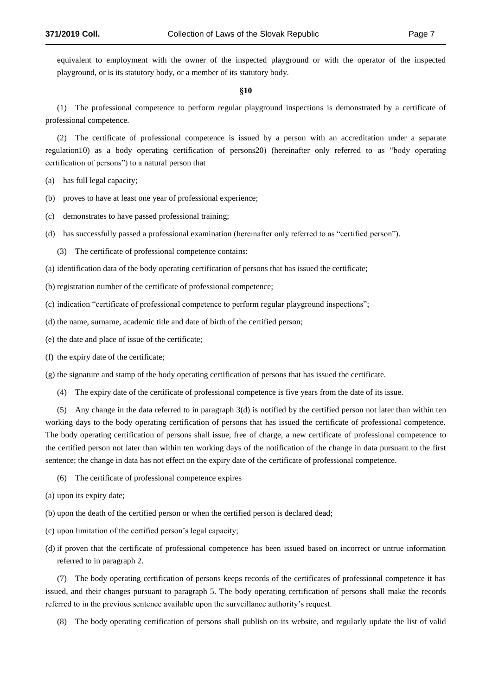equivalent to employment with the owner of the inspected playground or with the operator of the inspected playground, or is its statutory body, or a member of its statutory body.

#### **§10**

(1) The professional competence to perform regular playground inspections is demonstrated by a certificate of professional competence.

(2) The certificate of professional competence is issued by a person with an accreditation under a separate regulation10) as a body operating certification of persons20) (hereinafter only referred to as "body operating certification of persons") to a natural person that

- (a) has full legal capacity;
- (b) proves to have at least one year of professional experience;
- (c) demonstrates to have passed professional training;
- (d) has successfully passed a professional examination (hereinafter only referred to as "certified person").
	- (3) The certificate of professional competence contains:
- (a) identification data of the body operating certification of persons that has issued the certificate;
- (b) registration number of the certificate of professional competence;
- (c) indication "certificate of professional competence to perform regular playground inspections";
- (d) the name, surname, academic title and date of birth of the certified person;
- (e) the date and place of issue of the certificate;
- (f) the expiry date of the certificate;
- (g) the signature and stamp of the body operating certification of persons that has issued the certificate.
	- (4) The expiry date of the certificate of professional competence is five years from the date of its issue.

(5) Any change in the data referred to in paragraph 3(d) is notified by the certified person not later than within ten working days to the body operating certification of persons that has issued the certificate of professional competence. The body operating certification of persons shall issue, free of charge, a new certificate of professional competence to the certified person not later than within ten working days of the notification of the change in data pursuant to the first sentence; the change in data has not effect on the expiry date of the certificate of professional competence.

- (6) The certificate of professional competence expires
- (a) upon its expiry date;
- (b) upon the death of the certified person or when the certified person is declared dead;
- (c) upon limitation of the certified person's legal capacity;
- (d) if proven that the certificate of professional competence has been issued based on incorrect or untrue information referred to in paragraph 2.

(7) The body operating certification of persons keeps records of the certificates of professional competence it has issued, and their changes pursuant to paragraph 5. The body operating certification of persons shall make the records referred to in the previous sentence available upon the surveillance authority's request.

(8) The body operating certification of persons shall publish on its website, and regularly update the list of valid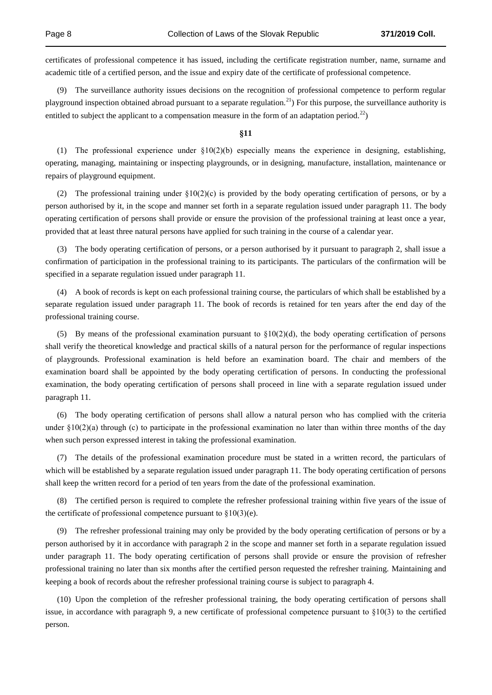certificates of professional competence it has issued, including the certificate registration number, name, surname and academic title of a certified person, and the issue and expiry date of the certificate of professional competence.

(9) The surveillance authority issues decisions on the recognition of professional competence to perform regular playground inspection obtained abroad pursuant to a separate regulation.<sup>21</sup>) For this purpose, the surveillance authority is entitled to subject the applicant to a compensation measure in the form of an adaptation period.<sup>22</sup>)

#### **§11**

(1) The professional experience under  $\S10(2)(b)$  especially means the experience in designing, establishing, operating, managing, maintaining or inspecting playgrounds, or in designing, manufacture, installation, maintenance or repairs of playground equipment.

(2) The professional training under §10(2)(c) is provided by the body operating certification of persons, or by a person authorised by it, in the scope and manner set forth in a separate regulation issued under paragraph 11. The body operating certification of persons shall provide or ensure the provision of the professional training at least once a year, provided that at least three natural persons have applied for such training in the course of a calendar year.

(3) The body operating certification of persons, or a person authorised by it pursuant to paragraph 2, shall issue a confirmation of participation in the professional training to its participants. The particulars of the confirmation will be specified in a separate regulation issued under paragraph 11.

(4) A book of records is kept on each professional training course, the particulars of which shall be established by a separate regulation issued under paragraph 11. The book of records is retained for ten years after the end day of the professional training course.

(5) By means of the professional examination pursuant to  $\S10(2)(d)$ , the body operating certification of persons shall verify the theoretical knowledge and practical skills of a natural person for the performance of regular inspections of playgrounds. Professional examination is held before an examination board. The chair and members of the examination board shall be appointed by the body operating certification of persons. In conducting the professional examination, the body operating certification of persons shall proceed in line with a separate regulation issued under paragraph 11.

(6) The body operating certification of persons shall allow a natural person who has complied with the criteria under  $\S 10(2)(a)$  through (c) to participate in the professional examination no later than within three months of the day when such person expressed interest in taking the professional examination.

(7) The details of the professional examination procedure must be stated in a written record, the particulars of which will be established by a separate regulation issued under paragraph 11. The body operating certification of persons shall keep the written record for a period of ten years from the date of the professional examination.

(8) The certified person is required to complete the refresher professional training within five years of the issue of the certificate of professional competence pursuant to  $\S 10(3)$ (e).

(9) The refresher professional training may only be provided by the body operating certification of persons or by a person authorised by it in accordance with paragraph 2 in the scope and manner set forth in a separate regulation issued under paragraph 11. The body operating certification of persons shall provide or ensure the provision of refresher professional training no later than six months after the certified person requested the refresher training. Maintaining and keeping a book of records about the refresher professional training course is subject to paragraph 4.

(10) Upon the completion of the refresher professional training, the body operating certification of persons shall issue, in accordance with paragraph 9, a new certificate of professional competence pursuant to  $\S 10(3)$  to the certified person.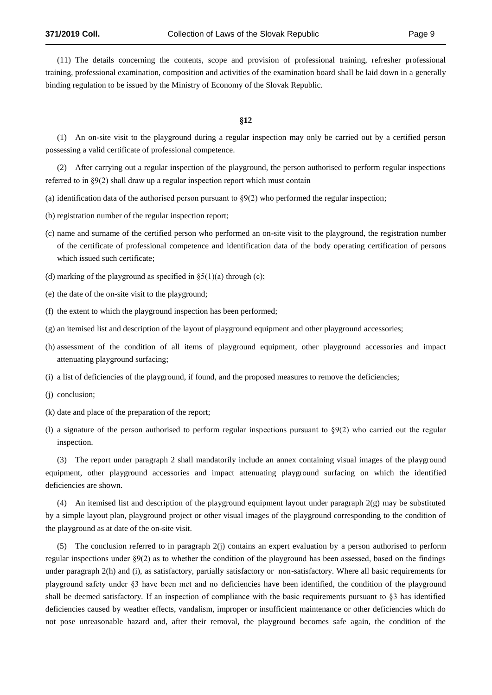(11) The details concerning the contents, scope and provision of professional training, refresher professional training, professional examination, composition and activities of the examination board shall be laid down in a generally binding regulation to be issued by the Ministry of Economy of the Slovak Republic.

#### **§12**

(1) An on-site visit to the playground during a regular inspection may only be carried out by a certified person possessing a valid certificate of professional competence.

(2) After carrying out a regular inspection of the playground, the person authorised to perform regular inspections referred to in §9(2) shall draw up a regular inspection report which must contain

(a) identification data of the authorised person pursuant to  $\S(2)$  who performed the regular inspection;

(b) registration number of the regular inspection report;

- (c) name and surname of the certified person who performed an on-site visit to the playground, the registration number of the certificate of professional competence and identification data of the body operating certification of persons which issued such certificate;
- (d) marking of the playground as specified in  $\S(1)(a)$  through (c);
- (e) the date of the on-site visit to the playground;
- (f) the extent to which the playground inspection has been performed;
- (g) an itemised list and description of the layout of playground equipment and other playground accessories;
- (h) assessment of the condition of all items of playground equipment, other playground accessories and impact attenuating playground surfacing;
- (i) a list of deficiencies of the playground, if found, and the proposed measures to remove the deficiencies;
- (j) conclusion;
- (k) date and place of the preparation of the report;
- (l) a signature of the person authorised to perform regular inspections pursuant to  $\S 9(2)$  who carried out the regular inspection.

(3) The report under paragraph 2 shall mandatorily include an annex containing visual images of the playground equipment, other playground accessories and impact attenuating playground surfacing on which the identified deficiencies are shown.

(4) An itemised list and description of the playground equipment layout under paragraph  $2(g)$  may be substituted by a simple layout plan, playground project or other visual images of the playground corresponding to the condition of the playground as at date of the on-site visit.

(5) The conclusion referred to in paragraph 2(j) contains an expert evaluation by a person authorised to perform regular inspections under §9(2) as to whether the condition of the playground has been assessed, based on the findings under paragraph 2(h) and (i), as satisfactory, partially satisfactory or non-satisfactory. Where all basic requirements for playground safety under §3 have been met and no deficiencies have been identified, the condition of the playground shall be deemed satisfactory. If an inspection of compliance with the basic requirements pursuant to §3 has identified deficiencies caused by weather effects, vandalism, improper or insufficient maintenance or other deficiencies which do not pose unreasonable hazard and, after their removal, the playground becomes safe again, the condition of the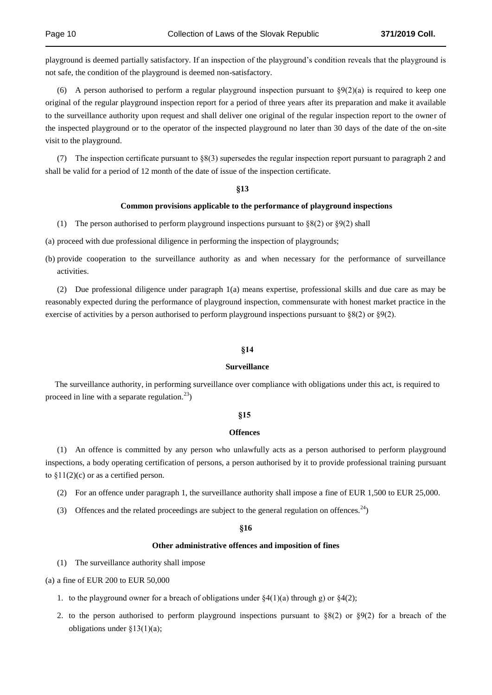playground is deemed partially satisfactory. If an inspection of the playground's condition reveals that the playground is not safe, the condition of the playground is deemed non-satisfactory.

(6) A person authorised to perform a regular playground inspection pursuant to  $\S9(2)(a)$  is required to keep one original of the regular playground inspection report for a period of three years after its preparation and make it available to the surveillance authority upon request and shall deliver one original of the regular inspection report to the owner of the inspected playground or to the operator of the inspected playground no later than 30 days of the date of the on-site visit to the playground.

(7) The inspection certificate pursuant to §8(3) supersedes the regular inspection report pursuant to paragraph 2 and shall be valid for a period of 12 month of the date of issue of the inspection certificate.

#### **§13**

#### **Common provisions applicable to the performance of playground inspections**

(1) The person authorised to perform playground inspections pursuant to  $\S 8(2)$  or  $\S 9(2)$  shall

(a) proceed with due professional diligence in performing the inspection of playgrounds;

(b) provide cooperation to the surveillance authority as and when necessary for the performance of surveillance activities.

(2) Due professional diligence under paragraph 1(a) means expertise, professional skills and due care as may be reasonably expected during the performance of playground inspection, commensurate with honest market practice in the exercise of activities by a person authorised to perform playground inspections pursuant to  $\S 8(2)$  or  $\S 9(2)$ .

#### **§14**

#### **Surveillance**

The surveillance authority, in performing surveillance over compliance with obligations under this act, is required to proceed in line with a separate regulation. $^{23}$ )

#### **§15**

#### **Offences**

(1) An offence is committed by any person who unlawfully acts as a person authorised to perform playground inspections, a body operating certification of persons, a person authorised by it to provide professional training pursuant to  $$11(2)(c)$  or as a certified person.

- (2) For an offence under paragraph 1, the surveillance authority shall impose a fine of EUR 1,500 to EUR 25,000.
- (3) Offences and the related proceedings are subject to the general regulation on offences.<sup>24</sup>)

#### **§16**

#### **Other administrative offences and imposition of fines**

(1) The surveillance authority shall impose

(a) a fine of EUR 200 to EUR 50,000

- 1. to the playground owner for a breach of obligations under  $\S4(1)(a)$  through g) or  $\S4(2)$ ;
- 2. to the person authorised to perform playground inspections pursuant to  $\S(2)$  or  $\S(2)$  for a breach of the obligations under  $\S 13(1)(a)$ ;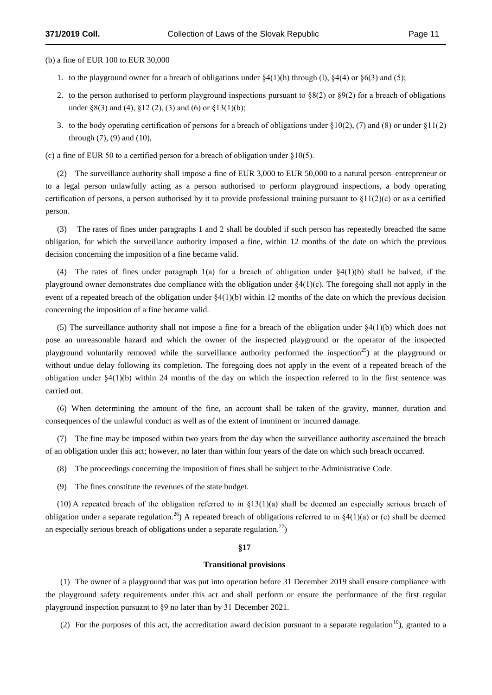(b) a fine of EUR 100 to EUR 30,000

- 1. to the playground owner for a breach of obligations under  $\S4(1)(h)$  through (1),  $\S4(4)$  or  $\S6(3)$  and (5);
- 2. to the person authorised to perform playground inspections pursuant to  $\S(2)$  or  $\S(2)$  for a breach of obligations under §8(3) and (4), §12 (2), (3) and (6) or §13(1)(b);
- 3. to the body operating certification of persons for a breach of obligations under  $\S10(2)$ , (7) and (8) or under  $\S11(2)$ through (7), (9) and (10),

(c) a fine of EUR 50 to a certified person for a breach of obligation under §10(5).

(2) The surveillance authority shall impose a fine of EUR 3,000 to EUR 50,000 to a natural person–entrepreneur or to a legal person unlawfully acting as a person authorised to perform playground inspections, a body operating certification of persons, a person authorised by it to provide professional training pursuant to  $\S1(2)(c)$  or as a certified person.

(3) The rates of fines under paragraphs 1 and 2 shall be doubled if such person has repeatedly breached the same obligation, for which the surveillance authority imposed a fine, within 12 months of the date on which the previous decision concerning the imposition of a fine became valid.

(4) The rates of fines under paragraph 1(a) for a breach of obligation under  $\S(41)(b)$  shall be halved, if the playground owner demonstrates due compliance with the obligation under  $\S4(1)(c)$ . The foregoing shall not apply in the event of a repeated breach of the obligation under  $\S(1)(b)$  within 12 months of the date on which the previous decision concerning the imposition of a fine became valid.

(5) The surveillance authority shall not impose a fine for a breach of the obligation under  $\S4(1)(b)$  which does not pose an unreasonable hazard and which the owner of the inspected playground or the operator of the inspected playground voluntarily removed while the surveillance authority performed the inspection<sup>25</sup>) at the playground or without undue delay following its completion. The foregoing does not apply in the event of a repeated breach of the obligation under  $\S4(1)(b)$  within 24 months of the day on which the inspection referred to in the first sentence was carried out.

(6) When determining the amount of the fine, an account shall be taken of the gravity, manner, duration and consequences of the unlawful conduct as well as of the extent of imminent or incurred damage.

(7) The fine may be imposed within two years from the day when the surveillance authority ascertained the breach of an obligation under this act; however, no later than within four years of the date on which such breach occurred.

- (8) The proceedings concerning the imposition of fines shall be subject to the Administrative Code.
- (9) The fines constitute the revenues of the state budget.

(10) A repeated breach of the obligation referred to in §13(1)(a) shall be deemed an especially serious breach of obligation under a separate regulation.<sup>26</sup>) A repeated breach of obligations referred to in  $\S4(1)(a)$  or (c) shall be deemed an especially serious breach of obligations under a separate regulation.<sup>27</sup>)

#### **§17**

#### **Transitional provisions**

(1) The owner of a playground that was put into operation before 31 December 2019 shall ensure compliance with the playground safety requirements under this act and shall perform or ensure the performance of the first regular playground inspection pursuant to §9 no later than by 31 December 2021.

(2) For the purposes of this act, the accreditation award decision pursuant to a separate regulation<sup>10</sup>), granted to a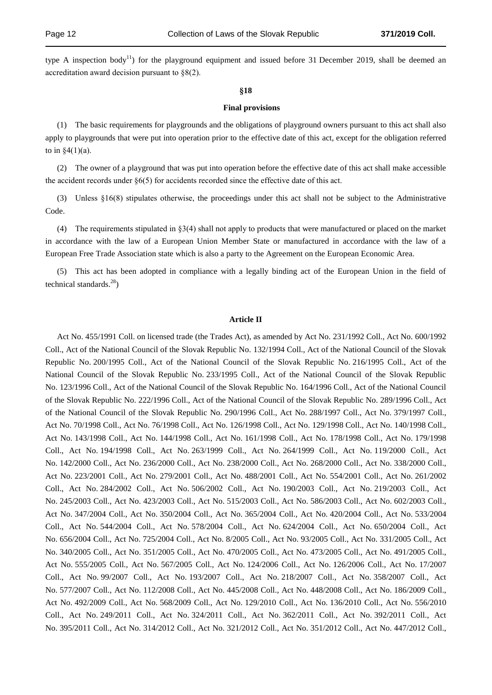type A inspection body<sup>11</sup>) for the playground equipment and issued before 31 December 2019, shall be deemed an accreditation award decision pursuant to §8(2).

#### **§18**

#### **Final provisions**

(1) The basic requirements for playgrounds and the obligations of playground owners pursuant to this act shall also apply to playgrounds that were put into operation prior to the effective date of this act, except for the obligation referred to in  $\S4(1)(a)$ .

(2) The owner of a playground that was put into operation before the effective date of this act shall make accessible the accident records under  $\S6(5)$  for accidents recorded since the effective date of this act.

(3) Unless §16(8) stipulates otherwise, the proceedings under this act shall not be subject to the Administrative Code.

(4) The requirements stipulated in §3(4) shall not apply to products that were manufactured or placed on the market in accordance with the law of a European Union Member State or manufactured in accordance with the law of a European Free Trade Association state which is also a party to the Agreement on the European Economic Area.

(5) This act has been adopted in compliance with a legally binding act of the European Union in the field of technical standards. $^{28}$ )

#### **Article II**

Act No. 455/1991 Coll. on licensed trade (the Trades Act), as amended by Act No. 231/1992 Coll., Act No. 600/1992 Coll., Act of the National Council of the Slovak Republic No. 132/1994 Coll., Act of the National Council of the Slovak Republic No. 200/1995 Coll., Act of the National Council of the Slovak Republic No. 216/1995 Coll., Act of the National Council of the Slovak Republic No. 233/1995 Coll., Act of the National Council of the Slovak Republic No. 123/1996 Coll., Act of the National Council of the Slovak Republic No. 164/1996 Coll., Act of the National Council of the Slovak Republic No. 222/1996 Coll., Act of the National Council of the Slovak Republic No. 289/1996 Coll., Act of the National Council of the Slovak Republic No. 290/1996 Coll., Act No. 288/1997 Coll., Act No. 379/1997 Coll., Act No. 70/1998 Coll., Act No. 76/1998 Coll., Act No. 126/1998 Coll., Act No. 129/1998 Coll., Act No. 140/1998 Coll., Act No. 143/1998 Coll., Act No. 144/1998 Coll., Act No. 161/1998 Coll., Act No. 178/1998 Coll., Act No. 179/1998 Coll., Act No. 194/1998 Coll., Act No. 263/1999 Coll., Act No. 264/1999 Coll., Act No. 119/2000 Coll., Act No. 142/2000 Coll., Act No. 236/2000 Coll., Act No. 238/2000 Coll., Act No. 268/2000 Coll., Act No. 338/2000 Coll., Act No. 223/2001 Coll., Act No. 279/2001 Coll., Act No. 488/2001 Coll., Act No. 554/2001 Coll., Act No. 261/2002 Coll., Act No. 284/2002 Coll., Act No. 506/2002 Coll., Act No. 190/2003 Coll., Act No. 219/2003 Coll., Act No. 245/2003 Coll., Act No. 423/2003 Coll., Act No. 515/2003 Coll., Act No. 586/2003 Coll., Act No. 602/2003 Coll., Act No. 347/2004 Coll., Act No. 350/2004 Coll., Act No. 365/2004 Coll., Act No. 420/2004 Coll., Act No. 533/2004 Coll., Act No. 544/2004 Coll., Act No. 578/2004 Coll., Act No. 624/2004 Coll., Act No. 650/2004 Coll., Act No. 656/2004 Coll., Act No. 725/2004 Coll., Act No. 8/2005 Coll., Act No. 93/2005 Coll., Act No. 331/2005 Coll., Act No. 340/2005 Coll., Act No. 351/2005 Coll., Act No. 470/2005 Coll., Act No. 473/2005 Coll., Act No. 491/2005 Coll., Act No. 555/2005 Coll., Act No. 567/2005 Coll., Act No. 124/2006 Coll., Act No. 126/2006 Coll., Act No. 17/2007 Coll., Act No. 99/2007 Coll., Act No. 193/2007 Coll., Act No. 218/2007 Coll., Act No. 358/2007 Coll., Act No. 577/2007 Coll., Act No. 112/2008 Coll., Act No. 445/2008 Coll., Act No. 448/2008 Coll., Act No. 186/2009 Coll., Act No. 492/2009 Coll., Act No. 568/2009 Coll., Act No. 129/2010 Coll., Act No. 136/2010 Coll., Act No. 556/2010 Coll., Act No. 249/2011 Coll., Act No. 324/2011 Coll., Act No. 362/2011 Coll., Act No. 392/2011 Coll., Act No. 395/2011 Coll., Act No. 314/2012 Coll., Act No. 321/2012 Coll., Act No. 351/2012 Coll., Act No. 447/2012 Coll.,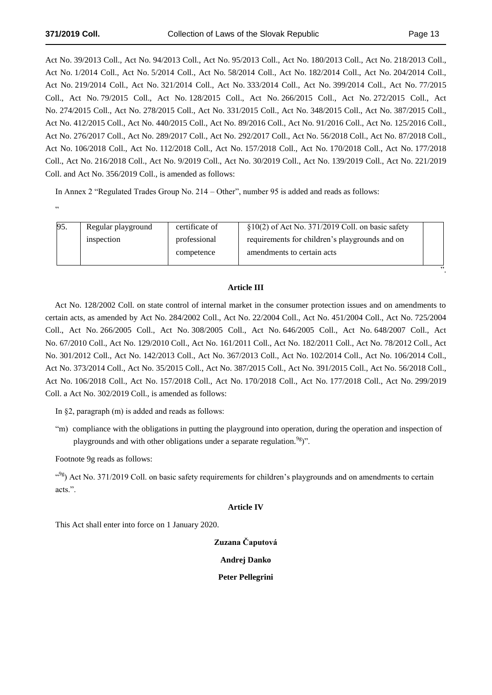Act No. 39/2013 Coll., Act No. 94/2013 Coll., Act No. 95/2013 Coll., Act No. 180/2013 Coll., Act No. 218/2013 Coll., Act No. 1/2014 Coll., Act No. 5/2014 Coll., Act No. 58/2014 Coll., Act No. 182/2014 Coll., Act No. 204/2014 Coll., Act No. 219/2014 Coll., Act No. 321/2014 Coll., Act No. 333/2014 Coll., Act No. 399/2014 Coll., Act No. 77/2015 Coll., Act No. 79/2015 Coll., Act No. 128/2015 Coll., Act No. 266/2015 Coll., Act No. 272/2015 Coll., Act No. 274/2015 Coll., Act No. 278/2015 Coll., Act No. 331/2015 Coll., Act No. 348/2015 Coll., Act No. 387/2015 Coll., Act No. 412/2015 Coll., Act No. 440/2015 Coll., Act No. 89/2016 Coll., Act No. 91/2016 Coll., Act No. 125/2016 Coll., Act No. 276/2017 Coll., Act No. 289/2017 Coll., Act No. 292/2017 Coll., Act No. 56/2018 Coll., Act No. 87/2018 Coll., Act No. 106/2018 Coll., Act No. 112/2018 Coll., Act No. 157/2018 Coll., Act No. 170/2018 Coll., Act No. 177/2018 Coll., Act No. 216/2018 Coll., Act No. 9/2019 Coll., Act No. 30/2019 Coll., Act No. 139/2019 Coll., Act No. 221/2019 Coll. and Act No. 356/2019 Coll., is amended as follows:

In Annex 2 "Regulated Trades Group No. 214 – Other", number 95 is added and reads as follows: .<br>.

| 95. | Regular playground | certificate of | $\S10(2)$ of Act No. 371/2019 Coll. on basic safety |  |
|-----|--------------------|----------------|-----------------------------------------------------|--|
|     | inspection         | professional   | requirements for children's playgrounds and on      |  |
|     |                    | competence     | amendments to certain acts.                         |  |
|     |                    |                |                                                     |  |

## **Article III**

Act No. 128/2002 Coll. on state control of internal market in the consumer protection issues and on amendments to certain acts, as amended by Act No. 284/2002 Coll., Act No. 22/2004 Coll., Act No. 451/2004 Coll., Act No. 725/2004 Coll., Act No. 266/2005 Coll., Act No. 308/2005 Coll., Act No. 646/2005 Coll., Act No. 648/2007 Coll., Act No. 67/2010 Coll., Act No. 129/2010 Coll., Act No. 161/2011 Coll., Act No. 182/2011 Coll., Act No. 78/2012 Coll., Act No. 301/2012 Coll., Act No. 142/2013 Coll., Act No. 367/2013 Coll., Act No. 102/2014 Coll., Act No. 106/2014 Coll., Act No. 373/2014 Coll., Act No. 35/2015 Coll., Act No. 387/2015 Coll., Act No. 391/2015 Coll., Act No. 56/2018 Coll., Act No. 106/2018 Coll., Act No. 157/2018 Coll., Act No. 170/2018 Coll., Act No. 177/2018 Coll., Act No. 299/2019 Coll. a Act No. 302/2019 Coll., is amended as follows:

In §2, paragraph (m) is added and reads as follows:

"m) compliance with the obligations in putting the playground into operation, during the operation and inspection of playgrounds and with other obligations under a separate regulation.<sup>9g</sup>)".

Footnote 9g reads as follows:

<sup>c9g</sup>) Act No. 371/2019 Coll. on basic safety requirements for children's playgrounds and on amendments to certain acts.".

## **Article IV**

This Act shall enter into force on 1 January 2020.

**Zuzana Čaputová**

**Andrej Danko**

**Peter Pellegrini**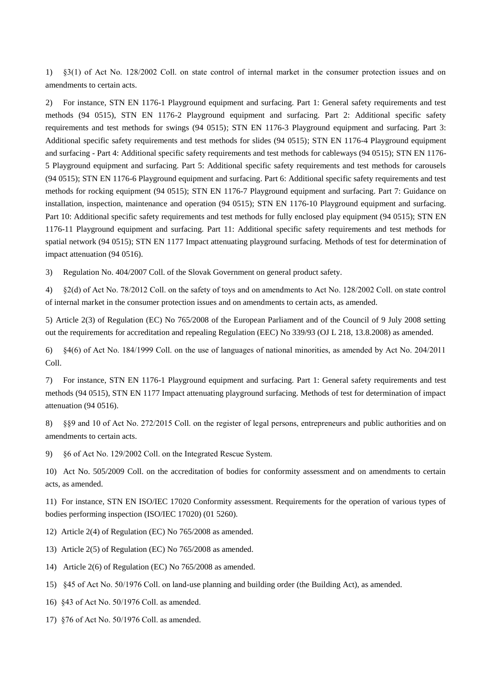1) §3(1) of Act No. 128/2002 Coll. on state control of internal market in the consumer protection issues and on amendments to certain acts.

2) For instance, STN EN 1176-1 Playground equipment and surfacing. Part 1: General safety requirements and test methods (94 0515), STN EN 1176-2 Playground equipment and surfacing. Part 2: Additional specific safety requirements and test methods for swings (94 0515); STN EN 1176-3 Playground equipment and surfacing. Part 3: Additional specific safety requirements and test methods for slides (94 0515); STN EN 1176-4 Playground equipment and surfacing - Part 4: Additional specific safety requirements and test methods for cableways (94 0515); STN EN 1176- 5 Playground equipment and surfacing. Part 5: Additional specific safety requirements and test methods for carousels (94 0515); STN EN 1176-6 Playground equipment and surfacing. Part 6: Additional specific safety requirements and test methods for rocking equipment (94 0515); STN EN 1176-7 Playground equipment and surfacing. Part 7: Guidance on installation, inspection, maintenance and operation (94 0515); STN EN 1176-10 Playground equipment and surfacing. Part 10: Additional specific safety requirements and test methods for fully enclosed play equipment (94 0515); STN EN 1176-11 Playground equipment and surfacing. Part 11: Additional specific safety requirements and test methods for spatial network (94 0515); STN EN 1177 Impact attenuating playground surfacing. Methods of test for determination of impact attenuation (94 0516).

3) Regulation No. 404/2007 Coll. of the Slovak Government on general product safety.

4) §2(d) of Act No. 78/2012 Coll. on the safety of toys and on amendments to Act No. 128/2002 Coll. on state control of internal market in the consumer protection issues and on amendments to certain acts, as amended.

5) Article 2(3) of Regulation (EC) No 765/2008 of the European Parliament and of the Council of 9 July 2008 setting out the requirements for accreditation and repealing Regulation (EEC) No 339/93 (OJ L 218, 13.8.2008) as amended.

6) §4(6) of Act No. 184/1999 Coll. on the use of languages of national minorities, as amended by Act No. 204/2011 Coll.

7) For instance, STN EN 1176-1 Playground equipment and surfacing. Part 1: General safety requirements and test methods (94 0515), STN EN 1177 Impact attenuating playground surfacing. Methods of test for determination of impact attenuation (94 0516).

8) §§9 and 10 of Act No. 272/2015 Coll. on the register of legal persons, entrepreneurs and public authorities and on amendments to certain acts.

9) §6 of Act No. 129/2002 Coll. on the Integrated Rescue System.

10) Act No. 505/2009 Coll. on the accreditation of bodies for conformity assessment and on amendments to certain acts, as amended.

11) For instance, STN EN ISO/IEC 17020 Conformity assessment. Requirements for the operation of various types of bodies performing inspection (ISO/IEC 17020) (01 5260).

12) Article 2(4) of Regulation (EC) No 765/2008 as amended.

- 13) Article 2(5) of Regulation (EC) No 765/2008 as amended.
- 14) Article 2(6) of Regulation (EC) No 765/2008 as amended.
- 15) §45 of Act No. 50/1976 Coll. on land-use planning and building order (the Building Act), as amended.
- 16) §43 of Act No. 50/1976 Coll. as amended.
- 17) §76 of Act No. 50/1976 Coll. as amended.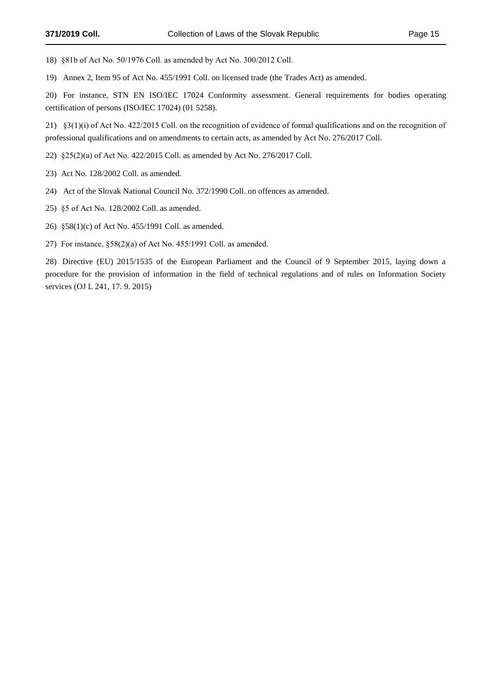18) §81b of Act No. 50/1976 Coll. as amended by Act No. 300/2012 Coll.

19) Annex 2, Item 95 of Act No. 455/1991 Coll. on licensed trade (the Trades Act) as amended.

20) For instance, STN EN ISO/IEC 17024 Conformity assessment. General requirements for bodies operating certification of persons (ISO/IEC 17024) (01 5258).

21) §3(1)(i) of Act No. 422/2015 Coll. on the recognition of evidence of formal qualifications and on the recognition of professional qualifications and on amendments to certain acts, as amended by Act No. 276/2017 Coll.

22) §25(2)(a) of Act No. 422/2015 Coll. as amended by Act No. 276/2017 Coll.

- 23) Act No. 128/2002 Coll. as amended.
- 24) Act of the Slovak National Council No. 372/1990 Coll. on offences as amended.
- 25) §5 of Act No. 128/2002 Coll. as amended.
- 26) §58(1)(c) of Act No. 455/1991 Coll. as amended.
- 27) For instance, §58(2)(a) of Act No. 455/1991 Coll. as amended.

28) Directive (EU) 2015/1535 of the European Parliament and the Council of 9 September 2015, laying down a procedure for the provision of information in the field of technical regulations and of rules on Information Society services (OJ L 241, 17. 9. 2015)